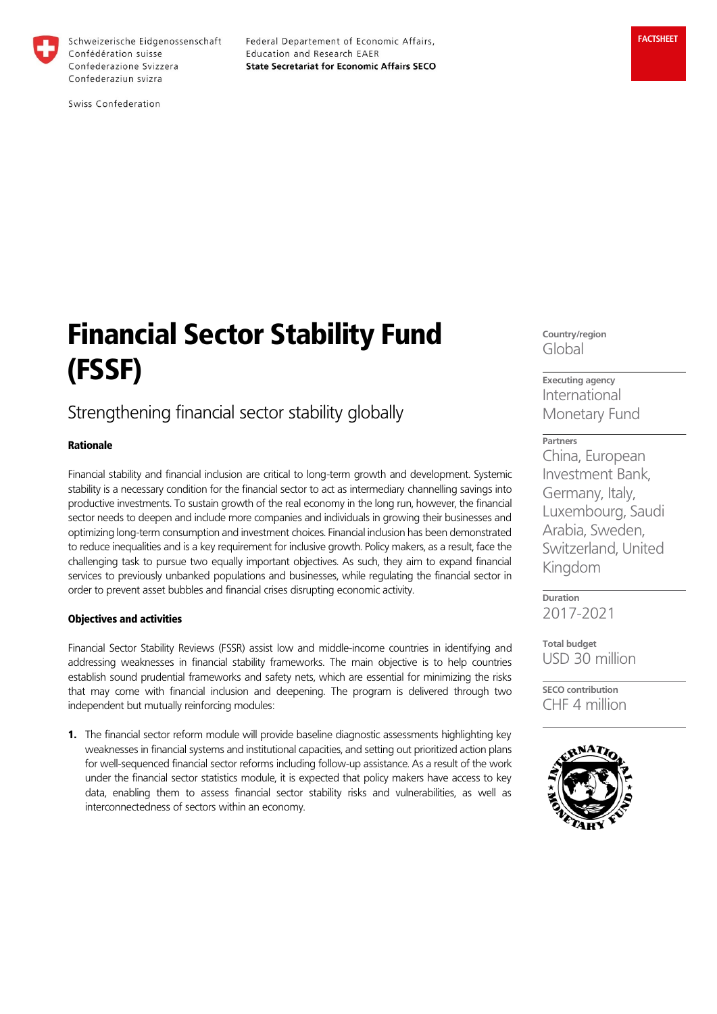

Schweizerische Eidgenossenschaft Confédération suisse Confederazione Svizzera Confederaziun svizra

Federal Departement of Economic Affairs, Education and Research EAER **State Secretariat for Economic Affairs SECO** 

Swiss Confederation

# Financial Sector Stability Fund (FSSF)

# Strengthening financial sector stability globally

# Rationale

Financial stability and financial inclusion are critical to long-term growth and development. Systemic stability is a necessary condition for the financial sector to act as intermediary channelling savings into productive investments. To sustain growth of the real economy in the long run, however, the financial sector needs to deepen and include more companies and individuals in growing their businesses and optimizing long-term consumption and investment choices. Financial inclusion has been demonstrated to reduce inequalities and is a key requirement for inclusive growth. Policy makers, as a result, face the challenging task to pursue two equally important objectives. As such, they aim to expand financial services to previously unbanked populations and businesses, while regulating the financial sector in order to prevent asset bubbles and financial crises disrupting economic activity.

## Objectives and activities

Financial Sector Stability Reviews (FSSR) assist low and middle-income countries in identifying and addressing weaknesses in financial stability frameworks. The main objective is to help countries establish sound prudential frameworks and safety nets, which are essential for minimizing the risks that may come with financial inclusion and deepening. The program is delivered through two independent but mutually reinforcing modules:

1. The financial sector reform module will provide baseline diagnostic assessments highlighting key weaknesses in financial systems and institutional capacities, and setting out prioritized action plans for well-sequenced financial sector reforms including follow-up assistance. As a result of the work under the financial sector statistics module, it is expected that policy makers have access to key data, enabling them to assess financial sector stability risks and vulnerabilities, as well as interconnectedness of sectors within an economy.

**Country/region** Global

**Executing agency** International Monetary Fund

**Partners** China, European Investment Bank, Germany, Italy, Luxembourg, Saudi Arabia, Sweden, Switzerland, United Kingdom

**Duration** 2017-2021

**Total budget** USD 30 million

**SECO contribution** CHF 4 million